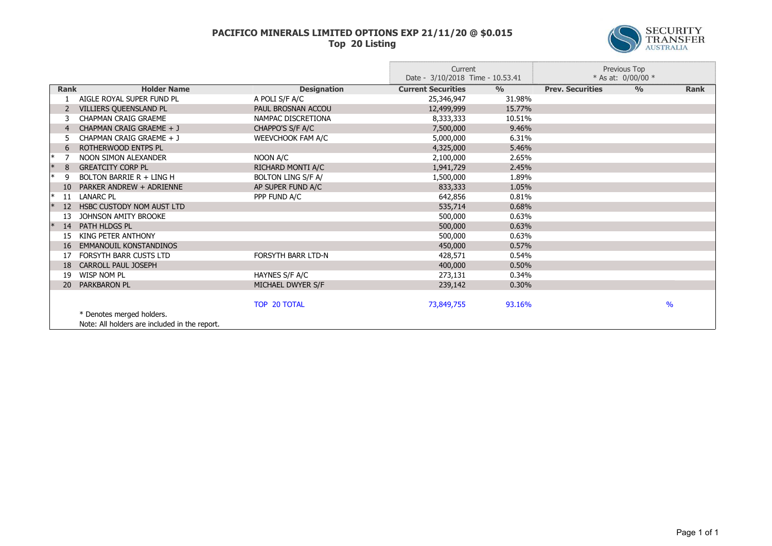## **PACIFICO MINERALS LIMITED OPTIONS EXP 21/11/20 @ \$0.015 Top 20 Listing**



|           |                 |                                               |                           | Current<br>Date - 3/10/2018 Time - 10.53.41 |               | Previous Top<br>* As at: $0/00/00$ * |               |               |
|-----------|-----------------|-----------------------------------------------|---------------------------|---------------------------------------------|---------------|--------------------------------------|---------------|---------------|
|           | <b>Rank</b>     | <b>Holder Name</b>                            | <b>Designation</b>        | <b>Current Securities</b>                   | $\frac{0}{0}$ | <b>Prev. Securities</b>              | $\frac{0}{0}$ | <b>Rank</b>   |
|           |                 | AIGLE ROYAL SUPER FUND PL                     | A POLI S/F A/C            | 25,346,947                                  | 31.98%        |                                      |               |               |
|           |                 | VILLIERS QUEENSLAND PL                        | PAUL BROSNAN ACCOU        | 12,499,999                                  | 15.77%        |                                      |               |               |
|           |                 | <b>CHAPMAN CRAIG GRAEME</b>                   | NAMPAC DISCRETIONA        | 8,333,333                                   | 10.51%        |                                      |               |               |
|           |                 | CHAPMAN CRAIG GRAEME + J                      | CHAPPO'S S/F A/C          | 7,500,000                                   | 9.46%         |                                      |               |               |
|           |                 | CHAPMAN CRAIG GRAEME + J                      | WEEVCHOOK FAM A/C         | 5,000,000                                   | 6.31%         |                                      |               |               |
|           | 6               | ROTHERWOOD ENTPS PL                           |                           | 4,325,000                                   | 5.46%         |                                      |               |               |
| ∣∗        |                 | NOON SIMON ALEXANDER                          | NOON A/C                  | 2,100,000                                   | 2.65%         |                                      |               |               |
| $\vert *$ | 8               | <b>GREATCITY CORP PL</b>                      | RICHARD MONTI A/C         | 1,941,729                                   | 2.45%         |                                      |               |               |
| ∣∗        | q               | BOLTON BARRIE R + LING H                      | <b>BOLTON LING S/F A/</b> | 1,500,000                                   | 1.89%         |                                      |               |               |
|           | 10 <sup>°</sup> | PARKER ANDREW + ADRIENNE                      | AP SUPER FUND A/C         | 833,333                                     | 1.05%         |                                      |               |               |
| $\ast$    | 11              | LANARC PL                                     | PPP FUND A/C              | 642,856                                     | 0.81%         |                                      |               |               |
|           | 12 <sup>2</sup> | HSBC CUSTODY NOM AUST LTD                     |                           | 535,714                                     | 0.68%         |                                      |               |               |
|           | 13              | JOHNSON AMITY BROOKE                          |                           | 500,000                                     | 0.63%         |                                      |               |               |
| ∣∗        | 14              | PATH HLDGS PL                                 |                           | 500,000                                     | 0.63%         |                                      |               |               |
|           | 15              | KING PETER ANTHONY                            |                           | 500,000                                     | 0.63%         |                                      |               |               |
|           | 16              | EMMANOUIL KONSTANDINOS                        |                           | 450,000                                     | 0.57%         |                                      |               |               |
|           |                 | <b>FORSYTH BARR CUSTS LTD</b>                 | <b>FORSYTH BARR LTD-N</b> | 428,571                                     | 0.54%         |                                      |               |               |
|           | 18              | <b>CARROLL PAUL JOSEPH</b>                    |                           | 400,000                                     | 0.50%         |                                      |               |               |
|           | 19              | WISP NOM PL                                   | HAYNES S/F A/C            | 273,131                                     | 0.34%         |                                      |               |               |
|           | 20              | PARKBARON PL                                  | MICHAEL DWYER S/F         | 239,142                                     | 0.30%         |                                      |               |               |
|           |                 |                                               |                           |                                             |               |                                      |               |               |
|           |                 |                                               | TOP 20 TOTAL              | 73,849,755                                  | 93.16%        |                                      |               | $\frac{9}{6}$ |
|           |                 | * Denotes merged holders.                     |                           |                                             |               |                                      |               |               |
|           |                 | Note: All holders are included in the report. |                           |                                             |               |                                      |               |               |